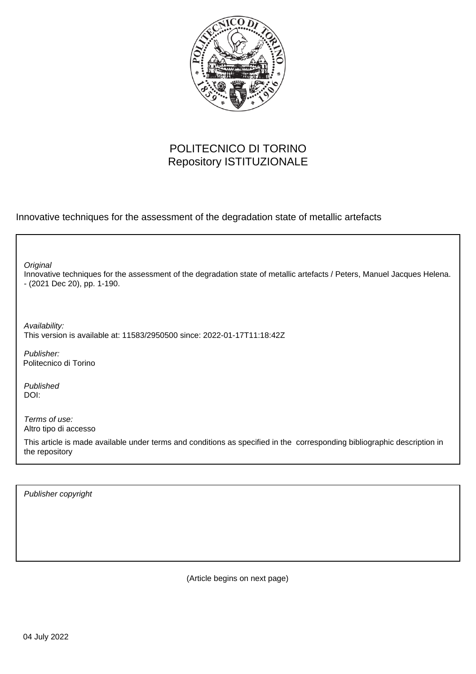

## POLITECNICO DI TORINO Repository ISTITUZIONALE

Innovative techniques for the assessment of the degradation state of metallic artefacts

Innovative techniques for the assessment of the degradation state of metallic artefacts / Peters, Manuel Jacques Helena. - (2021 Dec 20), pp. 1-190. **Original** Publisher: Published DOI: Terms of use: Altro tipo di accesso This article is made available under terms and conditions as specified in the corresponding bibliographic description in the repository Availability: This version is available at: 11583/2950500 since: 2022-01-17T11:18:42Z Politecnico di Torino

Publisher copyright

(Article begins on next page)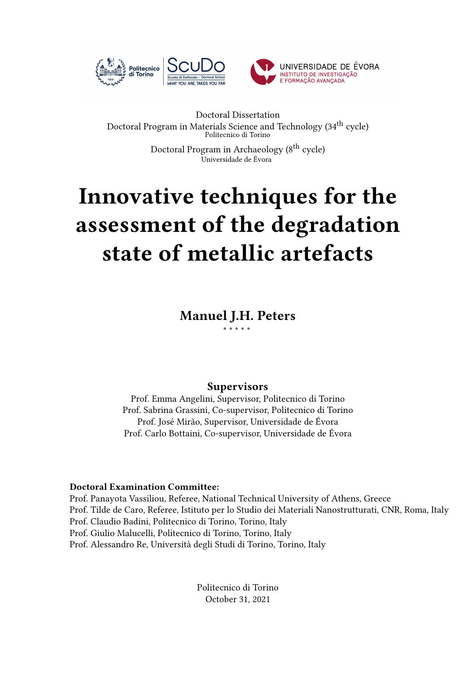

#### Doctoral Dissertation Doctoral Program in Materials Science and Technology (34<sup>th</sup> cycle) Politecnico di Torino

Doctoral Program in Archaeology (8<sup>th</sup> cycle) Universidade de Évora

# **Innovative techniques for the assessment of the degradation state of metallic artefacts**

**Manuel J.H. Peters** \* \* \* \* \*

### **Supervisors**

Prof. Emma Angelini, Supervisor, Politecnico di Torino Prof. Sabrina Grassini, Co-supervisor, Politecnico di Torino Prof. José Mirão, Supervisor, Universidade de Évora Prof. Carlo Bottaini, Co-supervisor, Universidade de Évora

#### **Doctoral Examination Committee:**

Prof. Panayota Vassiliou, Referee, National Technical University of Athens, Greece Prof. Tilde de Caro, Referee, Istituto per lo Studio dei Materiali Nanostrutturati, CNR, Roma, Italy Prof. Claudio Badini, Politecnico di Torino, Torino, Italy Prof. Giulio Malucelli, Politecnico di Torino, Torino, Italy Prof. Alessandro Re, Università degli Studi di Torino, Torino, Italy

> Politecnico di Torino October 31, 2021